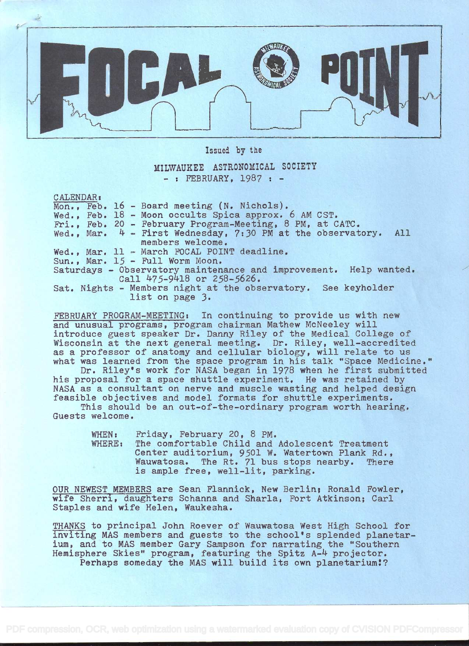

Issued by the

MILWAUKEE ASTRONOMICAL SOCIETY - : FEBRUARY, 1987 : -

CALENDAR:

Mon., Feb. 16 - Board meeting (N. Nichols). Wed., Feb. 18 - Moon occults Spica approx. 6 AM CST. Fri., Feb. 20 - February Program-Meeting, 8 PM, at CATC. Wed., Mar. 4 - First Wednesday, 7:30 PM at the observatory. All Wed., Mar. 11 - March FOCAL POINT deadline. Sun., Mar. 15 - Full Worm Moon. Saturdays - Observatory maintenance and improvement. Help wanted. members welcome. Call 475-9418 or 258-5626. Sat. Nights - Members night at the observatory. See keyholder list on page 3.

FEBRUARY PROGRAM-MEETING: In continuing to provide us with new and unusual programs, program chairman Mathew McNeeley will introduce guest speaker Dr. Danny Riley of the Medical College of Wisconsin at the next general meeting. Dr. Riley, well-accredited as a professor of anatomy and cellular biology, will relate to us what was learned from the space program in his talk "Space Medicine."

Dr. Riley's work for NASA began in 1978 when he first submitted his proposal for a space shuttle experiment. He was retained by NASA as a consultant on nerve and muscle wasting and helped design feasible objectives and model formats for shuttle experiments.

This should be an out-of-the-ordinary program worth hearing. Guests welcome.

| WHEN:  | Friday, February 20, 8 PM.                      |  |
|--------|-------------------------------------------------|--|
| WHERE: | The comfortable Child and Adolescent Treatment  |  |
|        | Center auditorium, 9501 W. Watertown Plank Rd., |  |
|        | Wauwatosa. The Rt. 71 bus stops nearby. There   |  |
|        | is ample free, well-lit, parking.               |  |

OUR NEWEST MEMBERS are Sean Flannick, New Berlin; Ronald Fowler, wife Sherri, daughters Schanna and Sharla, Fort Atkinson; Carl Staples and wife Helen, Waukesha.

THANKS to principal John Roever of Wauwatosa West High School for inviting MAS members and guests to the school's splended planetarium, and to MAS member Gary Sampson for narrating the "Southern Hemisphere Skies" program, featuring the Spitz A-4 projector. Perhaps someday the MAS will build its own planetarium!?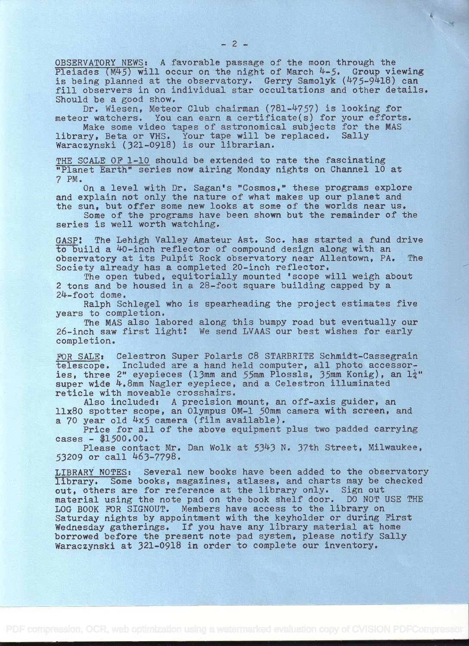OBSERVATORY NEWS: A favorable passage of the moon through the Pleiades  $(M45)$  will occur on the night of March  $4-5$ . Group viewing is being planned at the observatory. Gerry Samolyk  $(475-9418)$  can fill observers in on individual star occultations and other details. Should be a good show.

Dr. Wiesen, Meteor Club chairman (781-4757) is looking for meteor watchers. You can earn a certificate(s) for your efforts.

Make some video tapes of astronomical subjects for the MAS library, Beta or VHS. Your tape will be replaced. Sally Waraczynski (321-0918) is our librarian.

THE SCALE OF l-10 should be extended to rate the fascinating "Planet Earth" series now airing Monday nights on Channel 10 at 7 PM.

On a level with Dr. Sagan's "Cosmos," these programs explore and explain not only the nature of what makes up our planet and the sun, but offer some new looks at some of the worlds near us.

Some of the programs have been shown but the remainder of the series is well worth watching.

GASP! The Lehigh Valley Amateur Ast. Soc. has started a fund drive to build a 40-inch reflector of compound design along with an<br>observatory at its Pulpit Rock observatory near Allentown, PA. The observatory at its Pulpit Rock observatory near Allentown, PA. Society already has a completed 20-inch reflector.

The open tubed, equitorially mounted 'scope will weigh about 2 tons and be housed in a 28-foot square building capped by a 24-foot dome.

Ralph Schlegel who is spearheading the project estimates five years to completion.

The MAS also labored along this bumpy road but eventually our 26-inch saw first light: We send LVAAS our best wishes for early completion.

FOR SALE; Celestron Super Polaris C8 STARBRITE Schmidt-Cassegrain. telescope. Included are a hand held computer, all photo aceessories, three 2" eyepieces (13mm and 55mm Plossls, 35mm Konig), an  $1\frac{1}{4}$ " super wide 4.8mm Nagler eyepiece, and a Celestron illuminated reticle with moveable crosshairs.

Also included: A precision mount, an off-axis guider, an 11x80 spotter scope, an Olympus 0M-1 50mm camera with screen, and a 70 year old 4x5 camera (film available).

Price for all of the above equipment plus two padded carrying  $cases - $1,500.00.$ 

Please contact Mr. Dan Wolk at 5343 N. 37th Street, Milwaukee, 53209 or call 463-7798.

LIBRARY NOTES: Several new books have been added to the observatory library. Some books, magazines, atlases, and charts may be checked out, others are for reference at the library only. Sign out material using the note pad on the book shelf door. DO NOT USE THE LOG BOOK FOR SIGNOUT. Members have access to the library on Saturday nights by appointment with the keyholder or during First Wednesday gatherings. If you have any library material at home borrowed before the present note pad system, please notify Sally Waraczynski at 321-0918 in order to complete our inventory.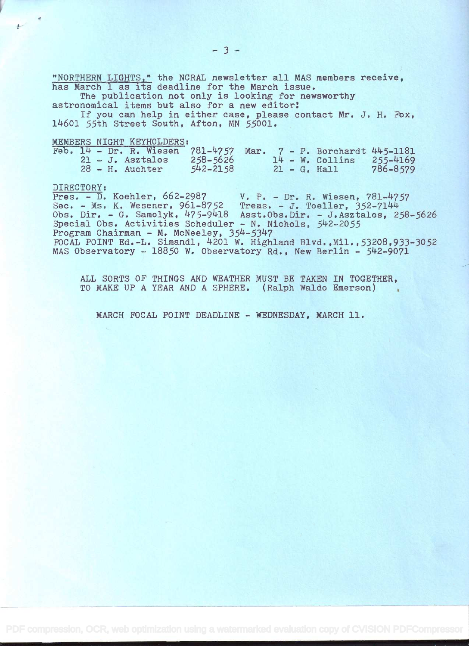"NORTHERN LIGHTS," the NCRAL newsletter all MAS members receive, has March 1 as its deadline for the March issue.

The publication not only is looking for newsworthy

astronomical items but also for a new editor! If you can help in either case, please contact Mr. J. H. Fox,

12+601 55th Street South, Afton, MN 55001,

MEMBERS NIGHT KEYHOLDERS:

|  |  | Feb. 14 - Dr. R. Wiesen 781-4757 Mar. 7 - P. Borchardt 445-1181 |              |  |  |                    |              |
|--|--|-----------------------------------------------------------------|--------------|--|--|--------------------|--------------|
|  |  | $21 - J$ . Asztalos                                             | $258 - 5626$ |  |  | $14 - W$ . Collins | $255 - 4169$ |
|  |  | $28 - H$ . Auchter                                              | $542 - 2158$ |  |  | $21 - G$ . Hall    | 786-8579     |

0

DIRECTORY:<br>Pres. - D. Koehler, 662-2987 Pres. - D. Koehler, 662-2987 V. P. - Dr. R. Wiesen, 781-4757 Sec. - Ms. K. Wesener, 961-8752 Treas. - J. Toeller, 352-7144 Obs. Dir. - G. Samolyk, 2+75-92+18 Asst.Obs.Dir. - J,Asztalos, 258-5626 Special Obs. Activities Scheduler - N. Nichols, 542-2055 Program Chairman - M. McNeeley, 354-5347 FOCAL POINT Ed.-L. Simandl, 2+201 W, Highland Blvd. ,Mil.,53208,933-3052 MAS Observatory - 18850 W. Observatory Rd., New Berlin - 542-9071

ALL SORTS OF THINGS AND WEATHER MUST BE TAKEN IN TOGETHER, TO MAKE UP A YEAR AND A SPHERE. (Ralph Waldo Emerson)

MARCH FOCAL POINT DEADLINE - WEDNESDAY, MARCH 11.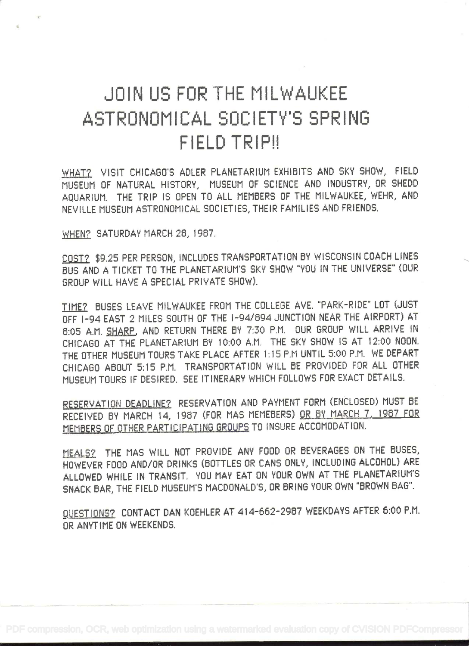# JOIN US FOR THE MILWAUKEE ASTRONOMICAL SOCIETY'S SPRING FIELD TRIP!!

WHAT? VISIT CHICAGO'S ADLER PLANETARIUM EXHIBITS AND SKY SHOW, FIELD MUSEUM OF NATURAL HISTORY, MUSEUM OF SCIENCE AND INDUSTRY, OR SHEDD AQUARIUM. THE TRIP IS OPEN TO ALL MEM8ERS OF THE MILWAUKEE, WEHR, AND NEVILLE MUSEUM ASTRONOMICAL SOCIETIES, THEIR FAMILIES AND FRIENDS.

WHEN? SATURDAY MARCH 26, 1967.

COST? \$9.25 PER PERSON, INCLUDES TRANSPORTATION BY WISCONSIN COACH LINES SUS AND A TICKET TO THE PLANETARIUMS SKY SHOW "YOU IN THE UNIVERSE" (OUR GROUP WILL HAVE A SPECIAL PRIVATE SHOW).

TIME? SUSES LEAVE MILWAUKEE FROM THE COLLEGE AVE. 'PARK-RIDE" LOT (JUST OFF l-94 EAST 2 MILES SOUTH OF THE I-94/894 JUNCTION NEAR THE AIRPORT) AT 8:05 A.M. SHARP, AND RETURN THERE 6V 7:30 P.M. OUR GROUP WILL ARRIVE IN CHICAGO AT THE PLANETARIUM BY 10:00 A.M. THE SKY SHOW IS AT 12:00 NOON. THE OTHER MUSEUM TOURS TAKE PLACE AFTER 1:15 P.M UNTIL 5:00 P.M. WE DEPART CHICAGO ABOUT 5:15 P.M. TRANSPORTATION WILL 8E PROVIDED FOR ALL OTHER MUSEUM TOURS IF DESIRED. SEE ITINERARY WHICH FOLLOWS FOR EXACT DETAILS.

RESERVATION DEADLINE? RESERVATION AND PAYMENT FORM (ENCLOSED) MUST BE RECEIVED BY MARCH 14, 1987 (FOR MAS MEMEBERS) OR BY MARCH 7, 1987 FOR MEMBERS OF OTHER PARTICIPATING GROUPS TO INSURE ACCOMODATION.

MEALS? THE MAS WILL NOT PROVIDE ANY FOOD OR 6EVERAGES ON THE SUSES, HOWEVER FOOD AND/OR DRINKS (BOTTLES OR CANS ONLY, INCLUDING ALCOHOL) ARE ALLOWED WHILE IN TRANSIT. YOU MAY EAT ON YOUR OWN AT THE PLANETARIUM'S SNACK BAR, THE FIELD MUSEUM'S MACDONALD'S, OR BRING YOUR OWN "BROWN BAG".

QUESTIONS? CONTACT DAN KOEHLER AT 414-662-2967 WEEKDAYS AFTER 6:00 P.M. OR ANYTIME ON WEEKENDS.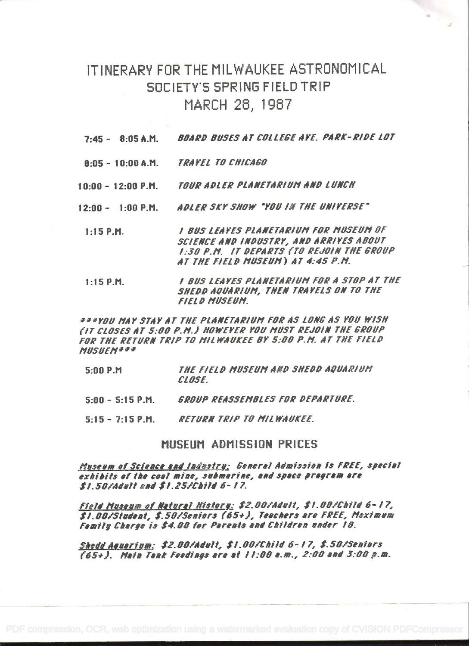## ITINERARY FOR THE MILWAUKEE ASTRONOMICAL SOCIETY'S SPRING FIELD TRIP MARCH 28, 1987

- BOARD BUSES AT COLLEGE AVE. PARK-RIDE LOT  $7:45 - 8:05$  A.M.
- TRAYEL TO CHICAGO  $8:05 - 10:00 A.M.$
- TOUR ADLER PLANETARIUM AND LUNCH  $10:00 - 12:00 P.M.$
- ADLER SKY SHOW "YOU IN THE UNIVERSE"  $12:00 - 1:00$  P.M.
- I BUS LEAYES PLANETARIUM FOR MUSEUM OF  $1:15$  P.M. SCIENCE AND INDUSTRY, AND ARRIVES ABOUT 1:30 P.M. IT DEPARTS (TO REJOIN THE GROUP AT THE FIELD MUSEUM) AT 4:45 P.M.
- 1 BUS LEAVES PLANETARIUM FOR A STOP AT THE  $1:15$  P.M. SHEDD AQUARIUM, THEN TRAYELS ON TO THE **FIELD MUSEUM.**

333YOU MAY STAY AT THE PLANETARIUM FOR AS LONG AS YOU WISH (IT CLOSES AT 5:00 P.M.) HOWEYER YOU MUST REJOIN THE GROUP FOR THE RETURN TRIP TO MILWAUKEE BY 5:00 P.M. AT THE FIELD **MUSUEM###** 

- THE FIELD MUSEUM AND SHEDD AQUARIUM 5:00 P.M. **CLOSE**.
- $5:00 5:15$  P.M. GROUP REASSEMBLES FOR DEPARTURE.
- **RETURN TRIP TO MILWAUKEE.**  $5:15 - 7:15$  P.M.

#### MUSEUM ADMISSION PRICES

Museum of Science and Industry: General Admission is FREE, special exhibits of the coal mine, submarine, and space program are \$1.50/Adult and \$1.25/Child 6-17.

Field Museum of Natural History: \$2.00/Adult, \$1.00/Child 6-17, \$1.00/Student, \$.50/Seniors (65+), Teachers are FREE, Maximum Family Charge is \$4.00 for Parents and Children under 18.

Shedd Aguarium: \$2.00/Adult, \$1.00/Child 6-17, \$.50/Seniors (65+). Main Tank Feedings are at 11:00 a.m., 2:00 and 3:00 m.m.